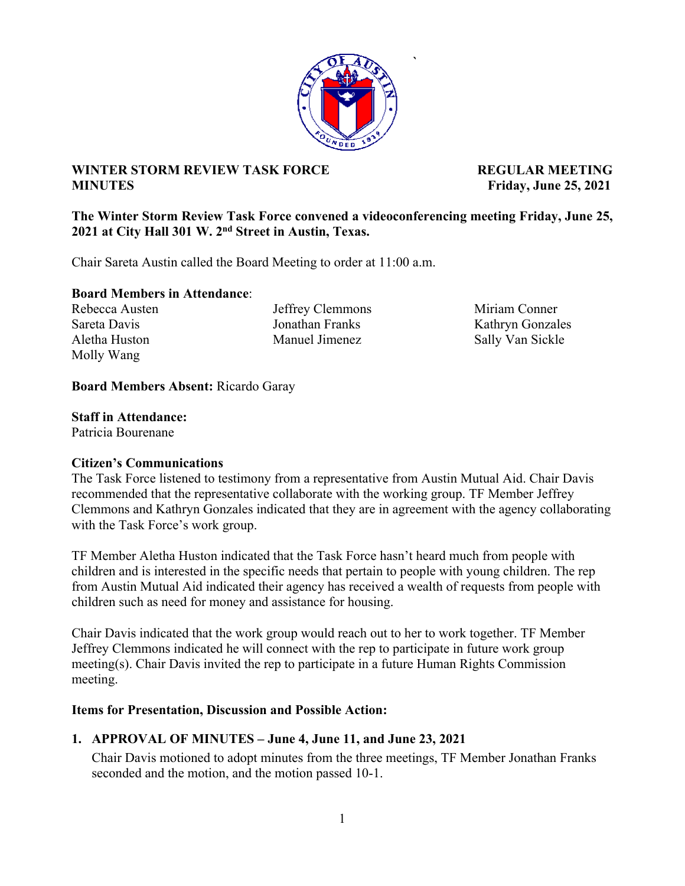

**`** 

# **WINTER STORM REVIEW TASK FORCE ALL PROPERTY REGULAR MEETING MINUTES Friday, June 25, 2021**

## **The Winter Storm Review Task Force convened a videoconferencing meeting Friday, June 25, 2021 at City Hall 301 W. 2nd Street in Austin, Texas.**

Chair Sareta Austin called the Board Meeting to order at 11:00 a.m.

### **Board Members in Attendance**:

Molly Wang

Rebecca Austen Jeffrey Clemmons Miriam Conner Aletha Huston Manuel Jimenez Sally Van Sickle

Sareta Davis Jonathan Franks Kathryn Gonzales

## **Board Members Absent:** Ricardo Garay

## **Staff in Attendance:**

Patricia Bourenane

## **Citizen's Communications**

The Task Force listened to testimony from a representative from Austin Mutual Aid. Chair Davis recommended that the representative collaborate with the working group. TF Member Jeffrey Clemmons and Kathryn Gonzales indicated that they are in agreement with the agency collaborating with the Task Force's work group.

TF Member Aletha Huston indicated that the Task Force hasn't heard much from people with children and is interested in the specific needs that pertain to people with young children. The rep from Austin Mutual Aid indicated their agency has received a wealth of requests from people with children such as need for money and assistance for housing.

Chair Davis indicated that the work group would reach out to her to work together. TF Member Jeffrey Clemmons indicated he will connect with the rep to participate in future work group meeting(s). Chair Davis invited the rep to participate in a future Human Rights Commission meeting.

## **Items for Presentation, Discussion and Possible Action:**

## **1. APPROVAL OF MINUTES – June 4, June 11, and June 23, 2021**

Chair Davis motioned to adopt minutes from the three meetings, TF Member Jonathan Franks seconded and the motion, and the motion passed 10-1.